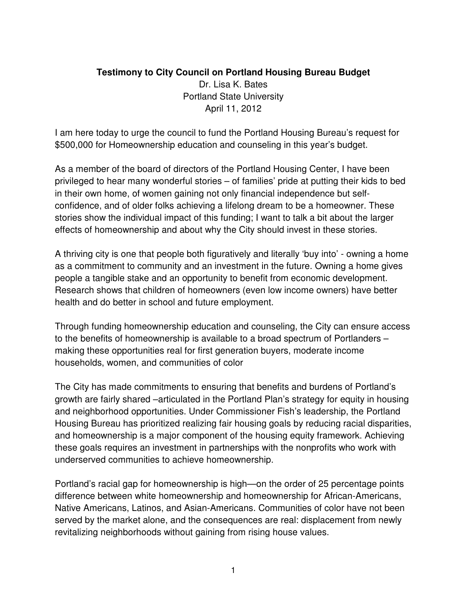## **Testimony to City Council on Portland Housing Bureau Budget**

Dr. Lisa K. Bates Portland State University April 11, 2012

I am here today to urge the council to fund the Portland Housing Bureau's request for \$500,000 for Homeownership education and counseling in this year's budget.

As a member of the board of directors of the Portland Housing Center, I have been privileged to hear many wonderful stories – of families' pride at putting their kids to bed in their own home, of women gaining not only financial independence but selfconfidence, and of older folks achieving a lifelong dream to be a homeowner. These stories show the individual impact of this funding; I want to talk a bit about the larger effects of homeownership and about why the City should invest in these stories.

A thriving city is one that people both figuratively and literally 'buy into' - owning a home as a commitment to community and an investment in the future. Owning a home gives people a tangible stake and an opportunity to benefit from economic development. Research shows that children of homeowners (even low income owners) have better health and do better in school and future employment.

Through funding homeownership education and counseling, the City can ensure access to the benefits of homeownership is available to a broad spectrum of Portlanders – making these opportunities real for first generation buyers, moderate income households, women, and communities of color

The City has made commitments to ensuring that benefits and burdens of Portland's growth are fairly shared –articulated in the Portland Plan's strategy for equity in housing and neighborhood opportunities. Under Commissioner Fish's leadership, the Portland Housing Bureau has prioritized realizing fair housing goals by reducing racial disparities, and homeownership is a major component of the housing equity framework. Achieving these goals requires an investment in partnerships with the nonprofits who work with underserved communities to achieve homeownership.

Portland's racial gap for homeownership is high—on the order of 25 percentage points difference between white homeownership and homeownership for African-Americans, Native Americans, Latinos, and Asian-Americans. Communities of color have not been served by the market alone, and the consequences are real: displacement from newly revitalizing neighborhoods without gaining from rising house values.